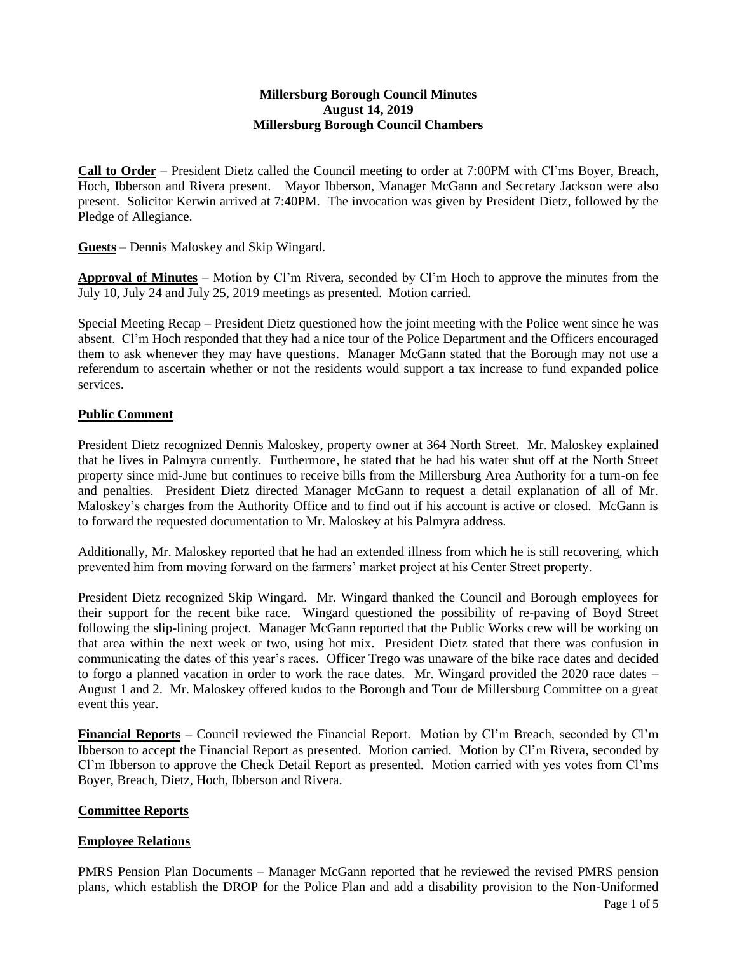## **Millersburg Borough Council Minutes August 14, 2019 Millersburg Borough Council Chambers**

**Call to Order** – President Dietz called the Council meeting to order at 7:00PM with Cl'ms Boyer, Breach, Hoch, Ibberson and Rivera present. Mayor Ibberson, Manager McGann and Secretary Jackson were also present. Solicitor Kerwin arrived at 7:40PM. The invocation was given by President Dietz, followed by the Pledge of Allegiance.

**Guests** – Dennis Maloskey and Skip Wingard.

**Approval of Minutes** – Motion by Cl'm Rivera, seconded by Cl'm Hoch to approve the minutes from the July 10, July 24 and July 25, 2019 meetings as presented. Motion carried.

Special Meeting Recap – President Dietz questioned how the joint meeting with the Police went since he was absent. Cl'm Hoch responded that they had a nice tour of the Police Department and the Officers encouraged them to ask whenever they may have questions. Manager McGann stated that the Borough may not use a referendum to ascertain whether or not the residents would support a tax increase to fund expanded police services.

# **Public Comment**

President Dietz recognized Dennis Maloskey, property owner at 364 North Street. Mr. Maloskey explained that he lives in Palmyra currently. Furthermore, he stated that he had his water shut off at the North Street property since mid-June but continues to receive bills from the Millersburg Area Authority for a turn-on fee and penalties. President Dietz directed Manager McGann to request a detail explanation of all of Mr. Maloskey's charges from the Authority Office and to find out if his account is active or closed. McGann is to forward the requested documentation to Mr. Maloskey at his Palmyra address.

Additionally, Mr. Maloskey reported that he had an extended illness from which he is still recovering, which prevented him from moving forward on the farmers' market project at his Center Street property.

President Dietz recognized Skip Wingard. Mr. Wingard thanked the Council and Borough employees for their support for the recent bike race. Wingard questioned the possibility of re-paving of Boyd Street following the slip-lining project. Manager McGann reported that the Public Works crew will be working on that area within the next week or two, using hot mix. President Dietz stated that there was confusion in communicating the dates of this year's races. Officer Trego was unaware of the bike race dates and decided to forgo a planned vacation in order to work the race dates. Mr. Wingard provided the 2020 race dates – August 1 and 2. Mr. Maloskey offered kudos to the Borough and Tour de Millersburg Committee on a great event this year.

**Financial Reports** – Council reviewed the Financial Report. Motion by Cl'm Breach, seconded by Cl'm Ibberson to accept the Financial Report as presented. Motion carried. Motion by Cl'm Rivera, seconded by Cl'm Ibberson to approve the Check Detail Report as presented. Motion carried with yes votes from Cl'ms Boyer, Breach, Dietz, Hoch, Ibberson and Rivera.

## **Committee Reports**

## **Employee Relations**

PMRS Pension Plan Documents – Manager McGann reported that he reviewed the revised PMRS pension plans, which establish the DROP for the Police Plan and add a disability provision to the Non-Uniformed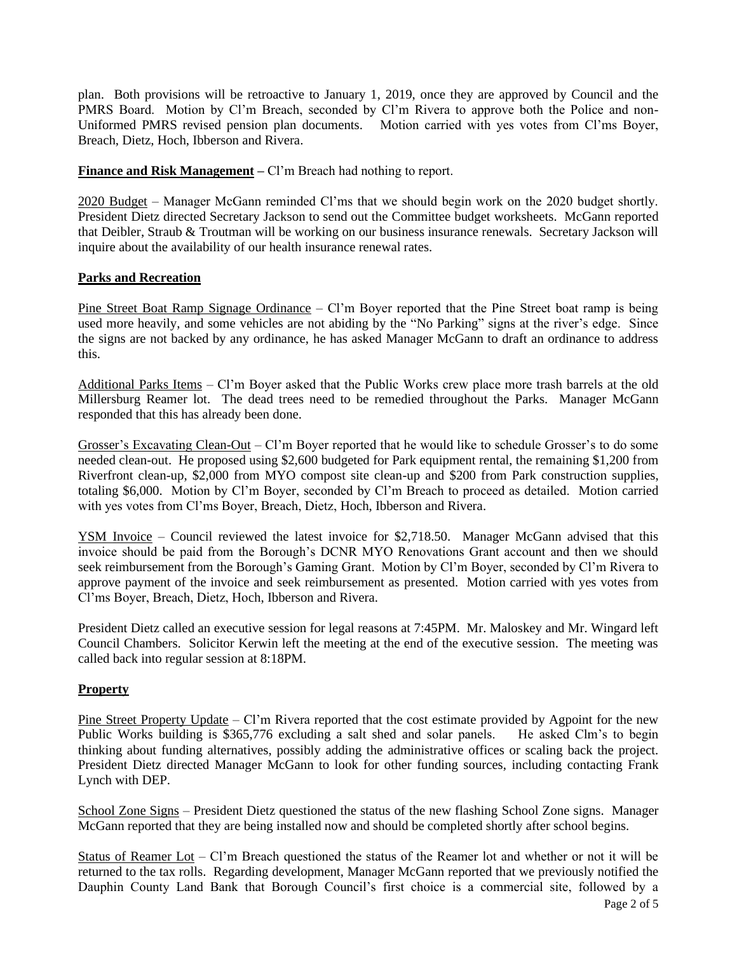plan. Both provisions will be retroactive to January 1, 2019, once they are approved by Council and the PMRS Board. Motion by Cl'm Breach, seconded by Cl'm Rivera to approve both the Police and non-Uniformed PMRS revised pension plan documents. Motion carried with yes votes from Cl'ms Boyer, Breach, Dietz, Hoch, Ibberson and Rivera.

**Finance and Risk Management** – Cl'm Breach had nothing to report.

2020 Budget – Manager McGann reminded Cl'ms that we should begin work on the 2020 budget shortly. President Dietz directed Secretary Jackson to send out the Committee budget worksheets. McGann reported that Deibler, Straub & Troutman will be working on our business insurance renewals. Secretary Jackson will inquire about the availability of our health insurance renewal rates.

# **Parks and Recreation**

Pine Street Boat Ramp Signage Ordinance – Cl'm Boyer reported that the Pine Street boat ramp is being used more heavily, and some vehicles are not abiding by the "No Parking" signs at the river's edge. Since the signs are not backed by any ordinance, he has asked Manager McGann to draft an ordinance to address this.

Additional Parks Items – Cl'm Boyer asked that the Public Works crew place more trash barrels at the old Millersburg Reamer lot. The dead trees need to be remedied throughout the Parks. Manager McGann responded that this has already been done.

Grosser's Excavating Clean-Out – Cl'm Boyer reported that he would like to schedule Grosser's to do some needed clean-out. He proposed using \$2,600 budgeted for Park equipment rental, the remaining \$1,200 from Riverfront clean-up, \$2,000 from MYO compost site clean-up and \$200 from Park construction supplies, totaling \$6,000. Motion by Cl'm Boyer, seconded by Cl'm Breach to proceed as detailed. Motion carried with yes votes from Cl'ms Boyer, Breach, Dietz, Hoch, Ibberson and Rivera.

YSM Invoice – Council reviewed the latest invoice for \$2,718.50. Manager McGann advised that this invoice should be paid from the Borough's DCNR MYO Renovations Grant account and then we should seek reimbursement from the Borough's Gaming Grant. Motion by Cl'm Boyer, seconded by Cl'm Rivera to approve payment of the invoice and seek reimbursement as presented. Motion carried with yes votes from Cl'ms Boyer, Breach, Dietz, Hoch, Ibberson and Rivera.

President Dietz called an executive session for legal reasons at 7:45PM. Mr. Maloskey and Mr. Wingard left Council Chambers. Solicitor Kerwin left the meeting at the end of the executive session. The meeting was called back into regular session at 8:18PM.

# **Property**

Pine Street Property Update – Cl'm Rivera reported that the cost estimate provided by Agpoint for the new Public Works building is \$365,776 excluding a salt shed and solar panels. He asked Clm's to begin thinking about funding alternatives, possibly adding the administrative offices or scaling back the project. President Dietz directed Manager McGann to look for other funding sources, including contacting Frank Lynch with DEP.

School Zone Signs – President Dietz questioned the status of the new flashing School Zone signs. Manager McGann reported that they are being installed now and should be completed shortly after school begins.

Status of Reamer Lot – Cl'm Breach questioned the status of the Reamer lot and whether or not it will be returned to the tax rolls. Regarding development, Manager McGann reported that we previously notified the Dauphin County Land Bank that Borough Council's first choice is a commercial site, followed by a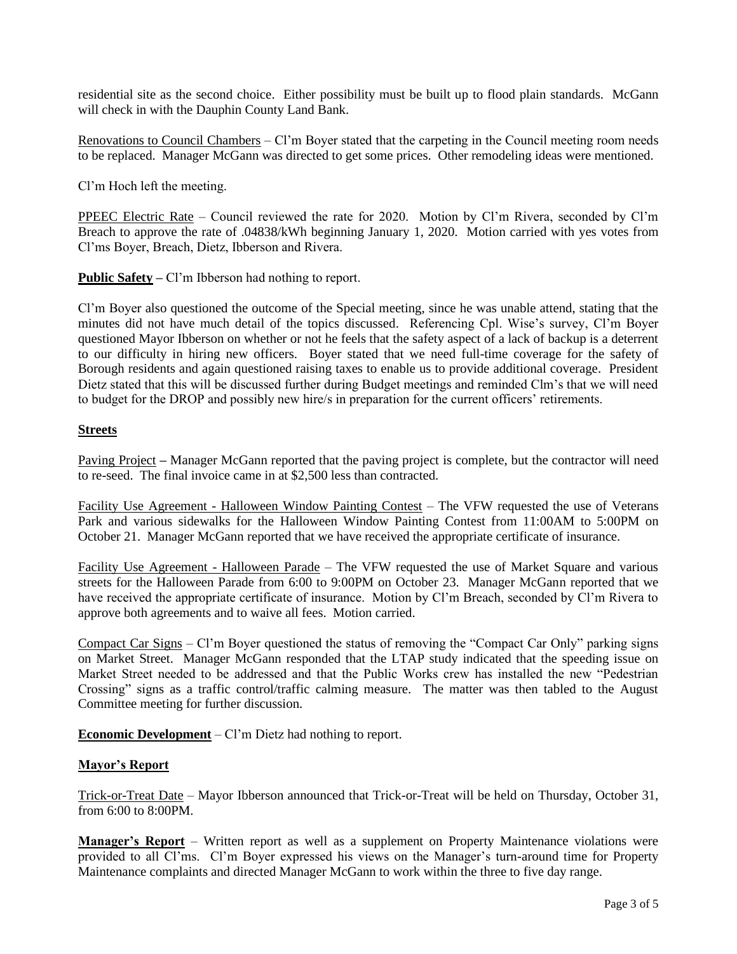residential site as the second choice. Either possibility must be built up to flood plain standards. McGann will check in with the Dauphin County Land Bank.

Renovations to Council Chambers – Cl'm Boyer stated that the carpeting in the Council meeting room needs to be replaced. Manager McGann was directed to get some prices. Other remodeling ideas were mentioned.

Cl'm Hoch left the meeting.

PPEEC Electric Rate – Council reviewed the rate for 2020. Motion by Cl'm Rivera, seconded by Cl'm Breach to approve the rate of .04838/kWh beginning January 1, 2020. Motion carried with yes votes from Cl'ms Boyer, Breach, Dietz, Ibberson and Rivera.

**Public Safety –** Cl'm Ibberson had nothing to report.

Cl'm Boyer also questioned the outcome of the Special meeting, since he was unable attend, stating that the minutes did not have much detail of the topics discussed. Referencing Cpl. Wise's survey, Cl'm Boyer questioned Mayor Ibberson on whether or not he feels that the safety aspect of a lack of backup is a deterrent to our difficulty in hiring new officers. Boyer stated that we need full-time coverage for the safety of Borough residents and again questioned raising taxes to enable us to provide additional coverage. President Dietz stated that this will be discussed further during Budget meetings and reminded Clm's that we will need to budget for the DROP and possibly new hire/s in preparation for the current officers' retirements.

### **Streets**

Paving Project **–** Manager McGann reported that the paving project is complete, but the contractor will need to re-seed. The final invoice came in at \$2,500 less than contracted.

Facility Use Agreement - Halloween Window Painting Contest – The VFW requested the use of Veterans Park and various sidewalks for the Halloween Window Painting Contest from 11:00AM to 5:00PM on October 21. Manager McGann reported that we have received the appropriate certificate of insurance.

Facility Use Agreement - Halloween Parade – The VFW requested the use of Market Square and various streets for the Halloween Parade from 6:00 to 9:00PM on October 23. Manager McGann reported that we have received the appropriate certificate of insurance. Motion by Cl'm Breach, seconded by Cl'm Rivera to approve both agreements and to waive all fees. Motion carried.

Compact Car Signs – Cl'm Boyer questioned the status of removing the "Compact Car Only" parking signs on Market Street. Manager McGann responded that the LTAP study indicated that the speeding issue on Market Street needed to be addressed and that the Public Works crew has installed the new "Pedestrian Crossing" signs as a traffic control/traffic calming measure. The matter was then tabled to the August Committee meeting for further discussion.

**Economic Development** – Cl'm Dietz had nothing to report.

#### **Mayor's Report**

Trick-or-Treat Date – Mayor Ibberson announced that Trick-or-Treat will be held on Thursday, October 31, from 6:00 to 8:00PM.

**Manager's Report** – Written report as well as a supplement on Property Maintenance violations were provided to all Cl'ms. Cl'm Boyer expressed his views on the Manager's turn-around time for Property Maintenance complaints and directed Manager McGann to work within the three to five day range.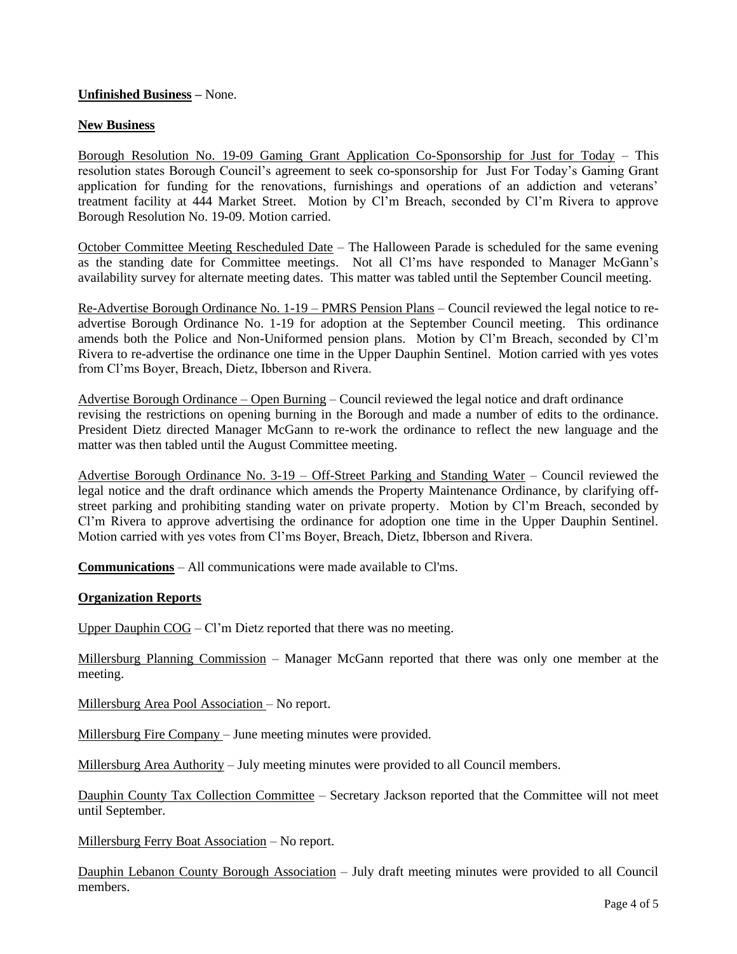## **Unfinished Business –** None.

### **New Business**

Borough Resolution No. 19-09 Gaming Grant Application Co-Sponsorship for Just for Today – This resolution states Borough Council's agreement to seek co-sponsorship for Just For Today's Gaming Grant application for funding for the renovations, furnishings and operations of an addiction and veterans' treatment facility at 444 Market Street. Motion by Cl'm Breach, seconded by Cl'm Rivera to approve Borough Resolution No. 19-09. Motion carried.

October Committee Meeting Rescheduled Date - The Halloween Parade is scheduled for the same evening as the standing date for Committee meetings. Not all Cl'ms have responded to Manager McGann's availability survey for alternate meeting dates. This matter was tabled until the September Council meeting.

Re-Advertise Borough Ordinance No. 1-19 – PMRS Pension Plans – Council reviewed the legal notice to readvertise Borough Ordinance No. 1-19 for adoption at the September Council meeting. This ordinance amends both the Police and Non-Uniformed pension plans. Motion by Cl'm Breach, seconded by Cl'm Rivera to re-advertise the ordinance one time in the Upper Dauphin Sentinel. Motion carried with yes votes from Cl'ms Boyer, Breach, Dietz, Ibberson and Rivera.

Advertise Borough Ordinance – Open Burning – Council reviewed the legal notice and draft ordinance revising the restrictions on opening burning in the Borough and made a number of edits to the ordinance. President Dietz directed Manager McGann to re-work the ordinance to reflect the new language and the matter was then tabled until the August Committee meeting.

Advertise Borough Ordinance No. 3-19 – Off-Street Parking and Standing Water – Council reviewed the legal notice and the draft ordinance which amends the Property Maintenance Ordinance, by clarifying offstreet parking and prohibiting standing water on private property. Motion by Cl'm Breach, seconded by Cl'm Rivera to approve advertising the ordinance for adoption one time in the Upper Dauphin Sentinel. Motion carried with yes votes from Cl'ms Boyer, Breach, Dietz, Ibberson and Rivera.

**Communications** – All communications were made available to Cl'ms.

#### **Organization Reports**

Upper Dauphin COG – Cl'm Dietz reported that there was no meeting.

Millersburg Planning Commission – Manager McGann reported that there was only one member at the meeting.

Millersburg Area Pool Association – No report.

Millersburg Fire Company – June meeting minutes were provided.

Millersburg Area Authority – July meeting minutes were provided to all Council members.

Dauphin County Tax Collection Committee – Secretary Jackson reported that the Committee will not meet until September.

Millersburg Ferry Boat Association – No report.

Dauphin Lebanon County Borough Association – July draft meeting minutes were provided to all Council members.